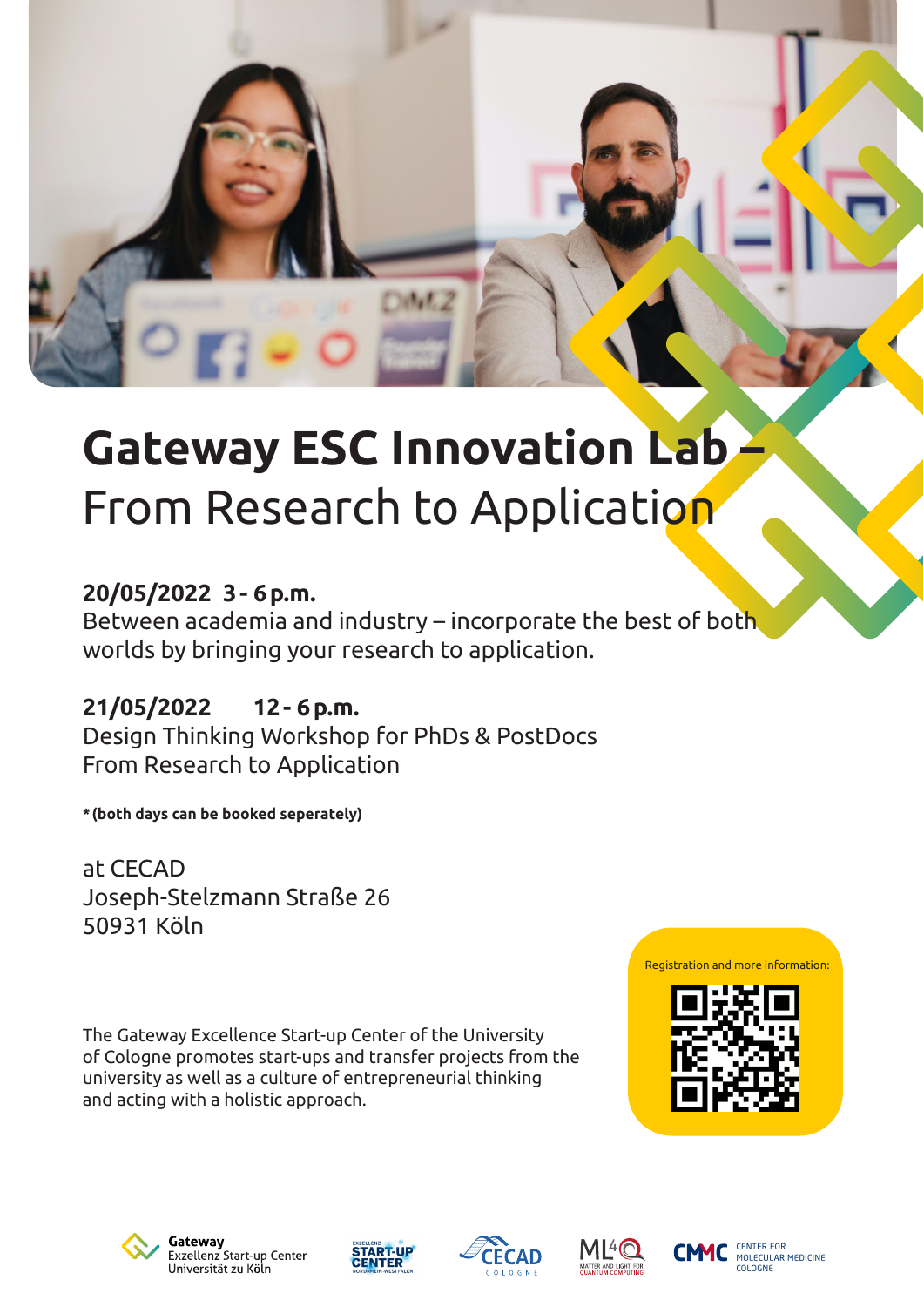

# **Gateway ESC Innovation Lab** From Research to Application

#### **20/05/2022 3- 6p.m.**

Between academia and industry – incorporate the best of both worlds by bringing your research to application.

**21/05/2022 12- 6p.m.** Design Thinking Workshop for PhDs & PostDocs From Research to Application

**\*(both days can be booked seperately)**

at CECAD Joseph-Stelzmann Straße 26 50931 Köln

The Gateway Excellence Start-up Center of the University of Cologne promotes start-ups and transfer projects from the university as well as a culture of entrepreneurial thinking and acting with a holistic approach.